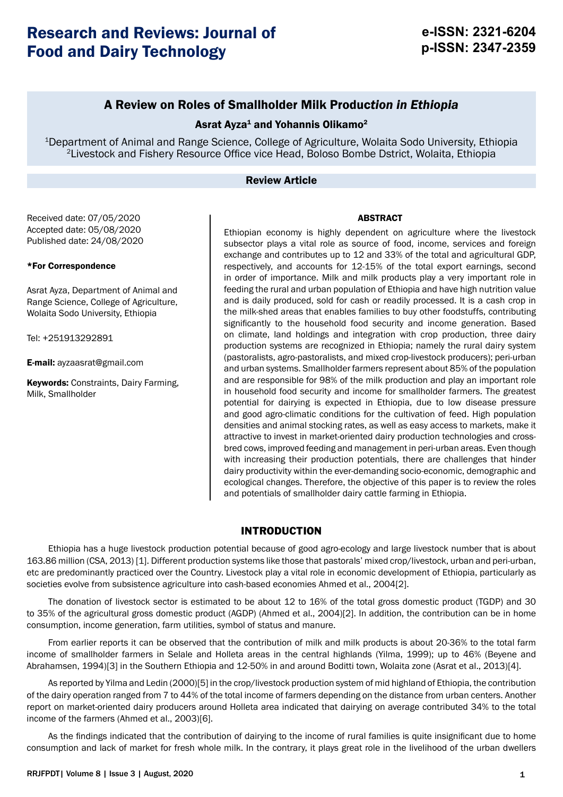# Research and Reviews: Journal of Food and Dairy Technology

## A Review on Roles of Smallholder Milk Produc*tion in Ethiopia*

## Asrat Ayza<sup>1</sup> and Yohannis Olikamo<sup>2</sup>

1Department of Animal and Range Science, College of Agriculture, Wolaita Sodo University, Ethiopia <sup>2</sup>Livestock and Fishery Resource Office vice Head, Boloso Bombe Dstrict, Wolaita, Ethiopia

## Review Article

#### ABSTRACT

Received date: 07/05/2020 Accepted date: 05/08/2020 Published date: 24/08/2020

#### \*For Correspondence

Asrat Ayza, Department of Animal and Range Science, College of Agriculture, Wolaita Sodo University, Ethiopia

Tel: +251913292891

E-mail: [ayzaasrat@gmail.com](mailto:ayzaasrat@gmail.com)

**Keywords: Constraints, Dairy Farming,** Milk, Smallholder

Ethiopian economy is highly dependent on agriculture where the livestock subsector plays a vital role as source of food, income, services and foreign exchange and contributes up to 12 and 33% of the total and agricultural GDP, respectively, and accounts for 12-15% of the total export earnings, second in order of importance. Milk and milk products play a very important role in feeding the rural and urban population of Ethiopia and have high nutrition value and is daily produced, sold for cash or readily processed. It is a cash crop in the milk-shed areas that enables families to buy other foodstuffs, contributing significantly to the household food security and income generation. Based on climate, land holdings and integration with crop production, three dairy production systems are recognized in Ethiopia; namely the rural dairy system (pastoralists, agro-pastoralists, and mixed crop-livestock producers); peri-urban and urban systems. Smallholder farmers represent about 85% of the population and are responsible for 98% of the milk production and play an important role in household food security and income for smallholder farmers. The greatest potential for dairying is expected in Ethiopia, due to low disease pressure and good agro-climatic conditions for the cultivation of feed. High population densities and animal stocking rates, as well as easy access to markets, make it attractive to invest in market-oriented dairy production technologies and crossbred cows, improved feeding and management in peri-urban areas. Even though with increasing their production potentials, there are challenges that hinder dairy productivity within the ever-demanding socio-economic, demographic and ecological changes. Therefore, the objective of this paper is to review the roles and potentials of smallholder dairy cattle farming in Ethiopia.

### INTRODUCTION

Ethiopia has a huge livestock production potential because of good agro-ecology and large livestock number that is about 163.86 million (CSA, 2013) [1]. Different production systems like those that pastorals' mixed crop/livestock, urban and peri-urban, etc are predominantly practiced over the Country. Livestock play a vital role in economic development of Ethiopia, particularly as societies evolve from subsistence agriculture into cash-based economies Ahmed et al., 2004[2].

The donation of livestock sector is estimated to be about 12 to 16% of the total gross domestic product (TGDP) and 30 to 35% of the agricultural gross domestic product (AGDP) (Ahmed et al., 2004)[2]. In addition, the contribution can be in home consumption, income generation, farm utilities, symbol of status and manure.

From earlier reports it can be observed that the contribution of milk and milk products is about 20-36% to the total farm income of smallholder farmers in Selale and Holleta areas in the central highlands (Yilma, 1999); up to 46% (Beyene and Abrahamsen, 1994)[3] in the Southern Ethiopia and 12-50% in and around Boditti town, Wolaita zone (Asrat et al., 2013)[4].

As reported by Yilma and Ledin (2000)[5] in the crop/livestock production system of mid highland of Ethiopia, the contribution of the dairy operation ranged from 7 to 44% of the total income of farmers depending on the distance from urban centers. Another report on market-oriented dairy producers around Holleta area indicated that dairying on average contributed 34% to the total income of the farmers (Ahmed et al., 2003)[6].

As the findings indicated that the contribution of dairying to the income of rural families is quite insignificant due to home consumption and lack of market for fresh whole milk. In the contrary, it plays great role in the livelihood of the urban dwellers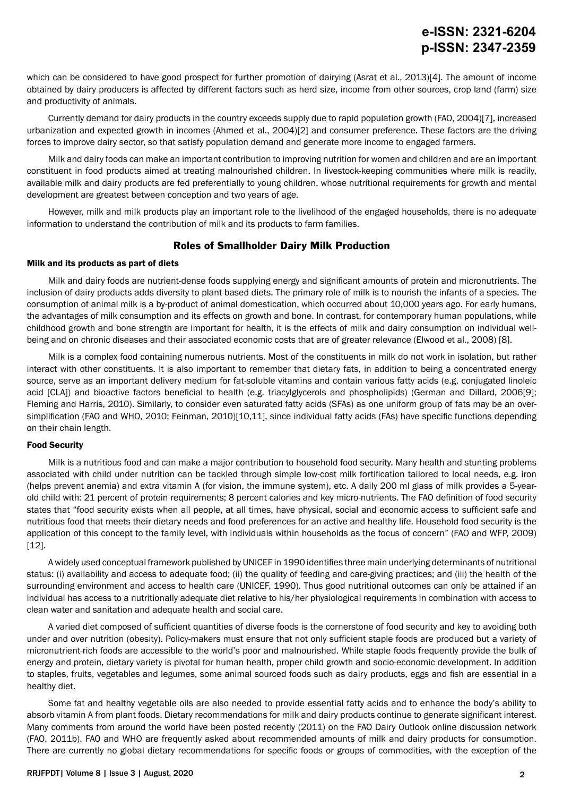which can be considered to have good prospect for further promotion of dairying (Asrat et al., 2013)[4]. The amount of income obtained by dairy producers is affected by different factors such as herd size, income from other sources, crop land (farm) size and productivity of animals.

Currently demand for dairy products in the country exceeds supply due to rapid population growth (FAO, 2004)[7], increased urbanization and expected growth in incomes (Ahmed et al., 2004)[2] and consumer preference. These factors are the driving forces to improve dairy sector, so that satisfy population demand and generate more income to engaged farmers.

Milk and dairy foods can make an important contribution to improving nutrition for women and children and are an important constituent in food products aimed at treating malnourished children. In livestock-keeping communities where milk is readily, available milk and dairy products are fed preferentially to young children, whose nutritional requirements for growth and mental development are greatest between conception and two years of age.

However, milk and milk products play an important role to the livelihood of the engaged households, there is no adequate information to understand the contribution of milk and its products to farm families.

## Roles of Smallholder Dairy Milk Production

### Milk and its products as part of diets

Milk and dairy foods are nutrient-dense foods supplying energy and significant amounts of protein and micronutrients. The inclusion of dairy products adds diversity to plant-based diets. The primary role of milk is to nourish the infants of a species. The consumption of animal milk is a by-product of animal domestication, which occurred about 10,000 years ago. For early humans, the advantages of milk consumption and its effects on growth and bone. In contrast, for contemporary human populations, while childhood growth and bone strength are important for health, it is the effects of milk and dairy consumption on individual wellbeing and on chronic diseases and their associated economic costs that are of greater relevance (Elwood et al., 2008) [8].

Milk is a complex food containing numerous nutrients. Most of the constituents in milk do not work in isolation, but rather interact with other constituents. It is also important to remember that dietary fats, in addition to being a concentrated energy source, serve as an important delivery medium for fat-soluble vitamins and contain various fatty acids (e.g. conjugated linoleic acid [CLA]) and bioactive factors beneficial to health (e.g. triacylglycerols and phospholipids) (German and Dillard, 2006[9]; Fleming and Harris, 2010). Similarly, to consider even saturated fatty acids (SFAs) as one uniform group of fats may be an oversimplification (FAO and WHO, 2010; Feinman, 2010)[10,11], since individual fatty acids (FAs) have specific functions depending on their chain length.

### Food Security

Milk is a nutritious food and can make a major contribution to household food security. Many health and stunting problems associated with child under nutrition can be tackled through simple low-cost milk fortification tailored to local needs, e.g. iron (helps prevent anemia) and extra vitamin A (for vision, the immune system), etc. A daily 200 ml glass of milk provides a 5-yearold child with: 21 percent of protein requirements; 8 percent calories and key micro-nutrients. The FAO definition of food security states that "food security exists when all people, at all times, have physical, social and economic access to sufficient safe and nutritious food that meets their dietary needs and food preferences for an active and healthy life. Household food security is the application of this concept to the family level, with individuals within households as the focus of concern" (FAO and WFP, 2009) [12].

A widely used conceptual framework published by UNICEF in 1990 identifies three main underlying determinants of nutritional status: (i) availability and access to adequate food; (ii) the quality of feeding and care-giving practices; and (iii) the health of the surrounding environment and access to health care (UNICEF, 1990). Thus good nutritional outcomes can only be attained if an individual has access to a nutritionally adequate diet relative to his/her physiological requirements in combination with access to clean water and sanitation and adequate health and social care.

A varied diet composed of sufficient quantities of diverse foods is the cornerstone of food security and key to avoiding both under and over nutrition (obesity). Policy-makers must ensure that not only sufficient staple foods are produced but a variety of micronutrient-rich foods are accessible to the world's poor and malnourished. While staple foods frequently provide the bulk of energy and protein, dietary variety is pivotal for human health, proper child growth and socio-economic development. In addition to staples, fruits, vegetables and legumes, some animal sourced foods such as dairy products, eggs and fish are essential in a healthy diet.

Some fat and healthy vegetable oils are also needed to provide essential fatty acids and to enhance the body's ability to absorb vitamin A from plant foods. Dietary recommendations for milk and dairy products continue to generate significant interest. Many comments from around the world have been posted recently (2011) on the FAO Dairy Outlook online discussion network (FAO, 2011b). FAO and WHO are frequently asked about recommended amounts of milk and dairy products for consumption. There are currently no global dietary recommendations for specific foods or groups of commodities, with the exception of the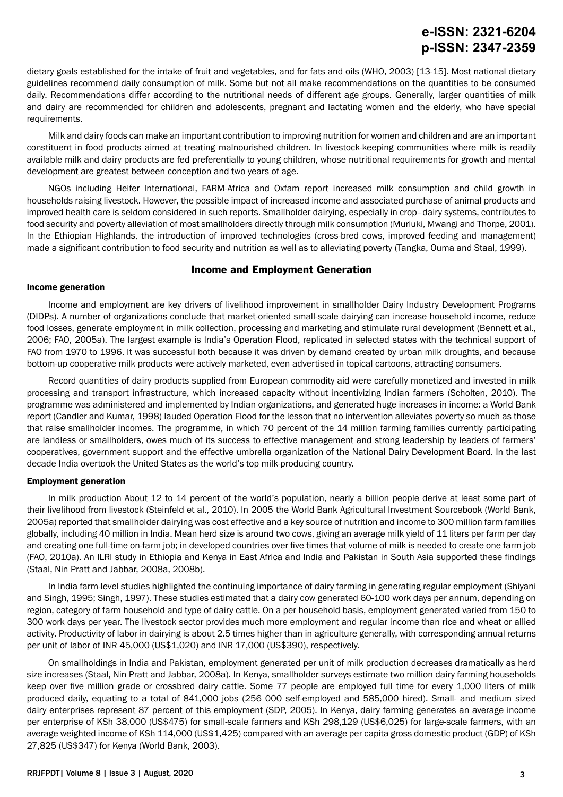## **e-ISSN: 2321-6204 p-ISSN: 2347-2359**

dietary goals established for the intake of fruit and vegetables, and for fats and oils (WHO, 2003) [13-15]. Most national dietary guidelines recommend daily consumption of milk. Some but not all make recommendations on the quantities to be consumed daily. Recommendations differ according to the nutritional needs of different age groups. Generally, larger quantities of milk and dairy are recommended for children and adolescents, pregnant and lactating women and the elderly, who have special requirements.

Milk and dairy foods can make an important contribution to improving nutrition for women and children and are an important constituent in food products aimed at treating malnourished children. In livestock-keeping communities where milk is readily available milk and dairy products are fed preferentially to young children, whose nutritional requirements for growth and mental development are greatest between conception and two years of age.

NGOs including Heifer International, FARM-Africa and Oxfam report increased milk consumption and child growth in households raising livestock. However, the possible impact of increased income and associated purchase of animal products and improved health care is seldom considered in such reports. Smallholder dairying, especially in crop–dairy systems, contributes to food security and poverty alleviation of most smallholders directly through milk consumption (Muriuki, Mwangi and Thorpe, 2001). In the Ethiopian Highlands, the introduction of improved technologies (cross-bred cows, improved feeding and management) made a significant contribution to food security and nutrition as well as to alleviating poverty (Tangka, Ouma and Staal, 1999).

## Income and Employment Generation

#### Income generation

Income and employment are key drivers of livelihood improvement in smallholder Dairy Industry Development Programs (DIDPs). A number of organizations conclude that market-oriented small-scale dairying can increase household income, reduce food losses, generate employment in milk collection, processing and marketing and stimulate rural development (Bennett et al., 2006; FAO, 2005a). The largest example is India's Operation Flood, replicated in selected states with the technical support of FAO from 1970 to 1996. It was successful both because it was driven by demand created by urban milk droughts, and because bottom-up cooperative milk products were actively marketed, even advertised in topical cartoons, attracting consumers.

Record quantities of dairy products supplied from European commodity aid were carefully monetized and invested in milk processing and transport infrastructure, which increased capacity without incentivizing Indian farmers (Scholten, 2010). The programme was administered and implemented by Indian organizations, and generated huge increases in income: a World Bank report (Candler and Kumar, 1998) lauded Operation Flood for the lesson that no intervention alleviates poverty so much as those that raise smallholder incomes. The programme, in which 70 percent of the 14 million farming families currently participating are landless or smallholders, owes much of its success to effective management and strong leadership by leaders of farmers' cooperatives, government support and the effective umbrella organization of the National Dairy Development Board. In the last decade India overtook the United States as the world's top milk-producing country.

### Employment generation

In milk production About 12 to 14 percent of the world's population, nearly a billion people derive at least some part of their livelihood from livestock (Steinfeld et al., 2010). In 2005 the World Bank Agricultural Investment Sourcebook (World Bank, 2005a) reported that smallholder dairying was cost effective and a key source of nutrition and income to 300 million farm families globally, including 40 million in India. Mean herd size is around two cows, giving an average milk yield of 11 liters per farm per day and creating one full-time on-farm job; in developed countries over five times that volume of milk is needed to create one farm job (FAO, 2010a). An ILRI study in Ethiopia and Kenya in East Africa and India and Pakistan in South Asia supported these findings (Staal, Nin Pratt and Jabbar, 2008a, 2008b).

In India farm-level studies highlighted the continuing importance of dairy farming in generating regular employment (Shiyani and Singh, 1995; Singh, 1997). These studies estimated that a dairy cow generated 60-100 work days per annum, depending on region, category of farm household and type of dairy cattle. On a per household basis, employment generated varied from 150 to 300 work days per year. The livestock sector provides much more employment and regular income than rice and wheat or allied activity. Productivity of labor in dairying is about 2.5 times higher than in agriculture generally, with corresponding annual returns per unit of labor of INR 45,000 (US\$1,020) and INR 17,000 (US\$390), respectively.

On smallholdings in India and Pakistan, employment generated per unit of milk production decreases dramatically as herd size increases (Staal, Nin Pratt and Jabbar, 2008a). In Kenya, smallholder surveys estimate two million dairy farming households keep over five million grade or crossbred dairy cattle. Some 77 people are employed full time for every 1,000 liters of milk produced daily, equating to a total of 841,000 jobs (256 000 self-employed and 585,000 hired). Small- and medium sized dairy enterprises represent 87 percent of this employment (SDP, 2005). In Kenya, dairy farming generates an average income per enterprise of KSh 38,000 (US\$475) for small-scale farmers and KSh 298,129 (US\$6,025) for large-scale farmers, with an average weighted income of KSh 114,000 (US\$1,425) compared with an average per capita gross domestic product (GDP) of KSh 27,825 (US\$347) for Kenya (World Bank, 2003).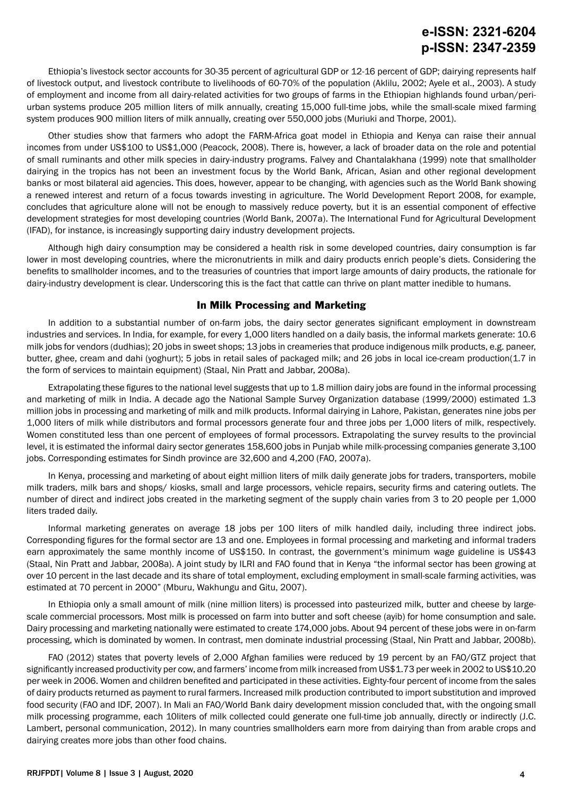## **e-ISSN: 2321-6204 p-ISSN: 2347-2359**

Ethiopia's livestock sector accounts for 30-35 percent of agricultural GDP or 12-16 percent of GDP; dairying represents half of livestock output, and livestock contribute to livelihoods of 60-70% of the population (Aklilu, 2002; Ayele et al., 2003). A study of employment and income from all dairy-related activities for two groups of farms in the Ethiopian highlands found urban/periurban systems produce 205 million liters of milk annually, creating 15,000 full-time jobs, while the small-scale mixed farming system produces 900 million liters of milk annually, creating over 550,000 jobs (Muriuki and Thorpe, 2001).

Other studies show that farmers who adopt the FARM-Africa goat model in Ethiopia and Kenya can raise their annual incomes from under US\$100 to US\$1,000 (Peacock, 2008). There is, however, a lack of broader data on the role and potential of small ruminants and other milk species in dairy-industry programs. Falvey and Chantalakhana (1999) note that smallholder dairying in the tropics has not been an investment focus by the World Bank, African, Asian and other regional development banks or most bilateral aid agencies. This does, however, appear to be changing, with agencies such as the World Bank showing a renewed interest and return of a focus towards investing in agriculture. The World Development Report 2008, for example, concludes that agriculture alone will not be enough to massively reduce poverty, but it is an essential component of effective development strategies for most developing countries (World Bank, 2007a). The International Fund for Agricultural Development (IFAD), for instance, is increasingly supporting dairy industry development projects.

Although high dairy consumption may be considered a health risk in some developed countries, dairy consumption is far lower in most developing countries, where the micronutrients in milk and dairy products enrich people's diets. Considering the benefits to smallholder incomes, and to the treasuries of countries that import large amounts of dairy products, the rationale for dairy-industry development is clear. Underscoring this is the fact that cattle can thrive on plant matter inedible to humans.

## In Milk Processing and Marketing

In addition to a substantial number of on-farm jobs, the dairy sector generates significant employment in downstream industries and services. In India, for example, for every 1,000 liters handled on a daily basis, the informal markets generate: 10.6 milk jobs for vendors (dudhias); 20 jobs in sweet shops; 13 jobs in creameries that produce indigenous milk products, e.g. paneer, butter, ghee, cream and dahi (yoghurt); 5 jobs in retail sales of packaged milk; and 26 jobs in local ice-cream production(1.7 in the form of services to maintain equipment) (Staal, Nin Pratt and Jabbar, 2008a).

Extrapolating these figures to the national level suggests that up to 1.8 million dairy jobs are found in the informal processing and marketing of milk in India. A decade ago the National Sample Survey Organization database (1999/2000) estimated 1.3 million jobs in processing and marketing of milk and milk products. Informal dairying in Lahore, Pakistan, generates nine jobs per 1,000 liters of milk while distributors and formal processors generate four and three jobs per 1,000 liters of milk, respectively. Women constituted less than one percent of employees of formal processors. Extrapolating the survey results to the provincial level, it is estimated the informal dairy sector generates 158,600 jobs in Punjab while milk-processing companies generate 3,100 jobs. Corresponding estimates for Sindh province are 32,600 and 4,200 (FAO, 2007a).

In Kenya, processing and marketing of about eight million liters of milk daily generate jobs for traders, transporters, mobile milk traders, milk bars and shops/ kiosks, small and large processors, vehicle repairs, security firms and catering outlets. The number of direct and indirect jobs created in the marketing segment of the supply chain varies from 3 to 20 people per 1,000 liters traded daily.

Informal marketing generates on average 18 jobs per 100 liters of milk handled daily, including three indirect jobs. Corresponding figures for the formal sector are 13 and one. Employees in formal processing and marketing and informal traders earn approximately the same monthly income of US\$150. In contrast, the government's minimum wage guideline is US\$43 (Staal, Nin Pratt and Jabbar, 2008a). A joint study by ILRI and FAO found that in Kenya "the informal sector has been growing at over 10 percent in the last decade and its share of total employment, excluding employment in small-scale farming activities, was estimated at 70 percent in 2000" (Mburu, Wakhungu and Gitu, 2007).

In Ethiopia only a small amount of milk (nine million liters) is processed into pasteurized milk, butter and cheese by largescale commercial processors. Most milk is processed on farm into butter and soft cheese (ayib) for home consumption and sale. Dairy processing and marketing nationally were estimated to create 174,000 jobs. About 94 percent of these jobs were in on-farm processing, which is dominated by women. In contrast, men dominate industrial processing (Staal, Nin Pratt and Jabbar, 2008b).

FAO (2012) states that poverty levels of 2,000 Afghan families were reduced by 19 percent by an FAO/GTZ project that significantly increased productivity per cow, and farmers' income from milk increased from US\$1.73 per week in 2002 to US\$10.20 per week in 2006. Women and children benefited and participated in these activities. Eighty-four percent of income from the sales of dairy products returned as payment to rural farmers. Increased milk production contributed to import substitution and improved food security (FAO and IDF, 2007). In Mali an FAO/World Bank dairy development mission concluded that, with the ongoing small milk processing programme, each 10liters of milk collected could generate one full-time job annually, directly or indirectly (J.C. Lambert, personal communication, 2012). In many countries smallholders earn more from dairying than from arable crops and dairying creates more jobs than other food chains.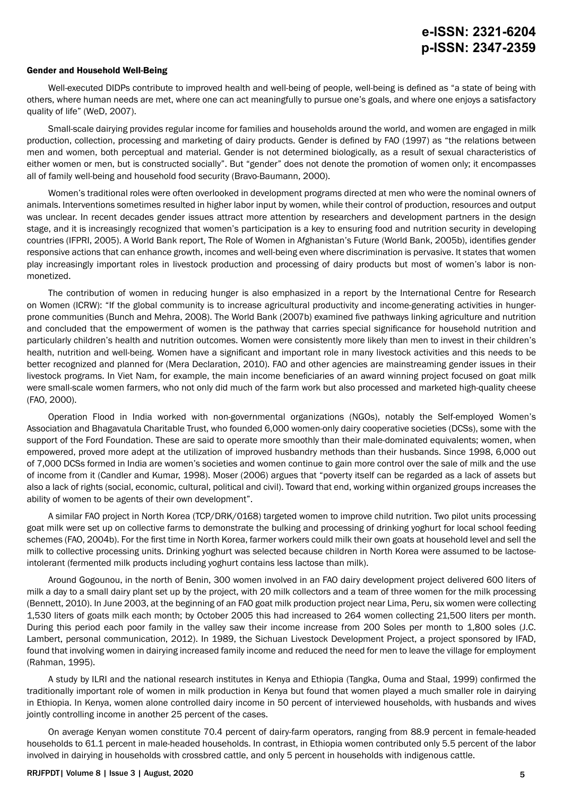#### Gender and Household Well-Being

Well-executed DIDPs contribute to improved health and well-being of people, well-being is defined as "a state of being with others, where human needs are met, where one can act meaningfully to pursue one's goals, and where one enjoys a satisfactory quality of life" (WeD, 2007).

Small-scale dairying provides regular income for families and households around the world, and women are engaged in milk production, collection, processing and marketing of dairy products. Gender is defined by FAO (1997) as "the relations between men and women, both perceptual and material. Gender is not determined biologically, as a result of sexual characteristics of either women or men, but is constructed socially". But "gender" does not denote the promotion of women only; it encompasses all of family well-being and household food security (Bravo-Baumann, 2000).

Women's traditional roles were often overlooked in development programs directed at men who were the nominal owners of animals. Interventions sometimes resulted in higher labor input by women, while their control of production, resources and output was unclear. In recent decades gender issues attract more attention by researchers and development partners in the design stage, and it is increasingly recognized that women's participation is a key to ensuring food and nutrition security in developing countries (IFPRI, 2005). A World Bank report, The Role of Women in Afghanistan's Future (World Bank, 2005b), identifies gender responsive actions that can enhance growth, incomes and well-being even where discrimination is pervasive. It states that women play increasingly important roles in livestock production and processing of dairy products but most of women's labor is nonmonetized.

The contribution of women in reducing hunger is also emphasized in a report by the International Centre for Research on Women (ICRW): "If the global community is to increase agricultural productivity and income-generating activities in hungerprone communities (Bunch and Mehra, 2008). The World Bank (2007b) examined five pathways linking agriculture and nutrition and concluded that the empowerment of women is the pathway that carries special significance for household nutrition and particularly children's health and nutrition outcomes. Women were consistently more likely than men to invest in their children's health, nutrition and well-being. Women have a significant and important role in many livestock activities and this needs to be better recognized and planned for (Mera Declaration, 2010). FAO and other agencies are mainstreaming gender issues in their livestock programs. In Viet Nam, for example, the main income beneficiaries of an award winning project focused on goat milk were small-scale women farmers, who not only did much of the farm work but also processed and marketed high-quality cheese (FAO, 2000).

Operation Flood in India worked with non-governmental organizations (NGOs), notably the Self-employed Women's Association and Bhagavatula Charitable Trust, who founded 6,000 women-only dairy cooperative societies (DCSs), some with the support of the Ford Foundation. These are said to operate more smoothly than their male-dominated equivalents; women, when empowered, proved more adept at the utilization of improved husbandry methods than their husbands. Since 1998, 6,000 out of 7,000 DCSs formed in India are women's societies and women continue to gain more control over the sale of milk and the use of income from it (Candler and Kumar, 1998). Moser (2006) argues that "poverty itself can be regarded as a lack of assets but also a lack of rights (social, economic, cultural, political and civil). Toward that end, working within organized groups increases the ability of women to be agents of their own development".

A similar FAO project in North Korea (TCP/DRK/0168) targeted women to improve child nutrition. Two pilot units processing goat milk were set up on collective farms to demonstrate the bulking and processing of drinking yoghurt for local school feeding schemes (FAO, 2004b). For the first time in North Korea, farmer workers could milk their own goats at household level and sell the milk to collective processing units. Drinking yoghurt was selected because children in North Korea were assumed to be lactoseintolerant (fermented milk products including yoghurt contains less lactose than milk).

Around Gogounou, in the north of Benin, 300 women involved in an FAO dairy development project delivered 600 liters of milk a day to a small dairy plant set up by the project, with 20 milk collectors and a team of three women for the milk processing (Bennett, 2010). In June 2003, at the beginning of an FAO goat milk production project near Lima, Peru, six women were collecting 1,530 liters of goats milk each month; by October 2005 this had increased to 264 women collecting 21,500 liters per month. During this period each poor family in the valley saw their income increase from 200 Soles per month to 1,800 soles (J.C. Lambert, personal communication, 2012). In 1989, the Sichuan Livestock Development Project, a project sponsored by IFAD, found that involving women in dairying increased family income and reduced the need for men to leave the village for employment (Rahman, 1995).

A study by ILRI and the national research institutes in Kenya and Ethiopia (Tangka, Ouma and Staal, 1999) confirmed the traditionally important role of women in milk production in Kenya but found that women played a much smaller role in dairying in Ethiopia. In Kenya, women alone controlled dairy income in 50 percent of interviewed households, with husbands and wives jointly controlling income in another 25 percent of the cases.

On average Kenyan women constitute 70.4 percent of dairy-farm operators, ranging from 88.9 percent in female-headed households to 61.1 percent in male-headed households. In contrast, in Ethiopia women contributed only 5.5 percent of the labor involved in dairying in households with crossbred cattle, and only 5 percent in households with indigenous cattle.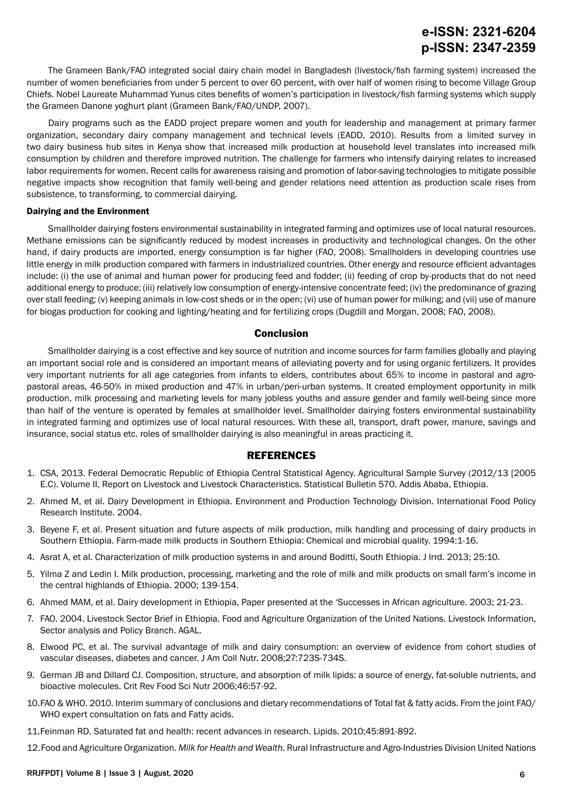## **e-ISSN: 2321-6204 p-ISSN: 2347-2359**

The Grameen Bank/FAO integrated social dairy chain model in Bangladesh (livestock/fish farming system) increased the number of women beneficiaries from under 5 percent to over 60 percent, with over half of women rising to become Village Group Chiefs. Nobel Laureate Muhammad Yunus cites benefits of women's participation in livestock/fish farming systems which supply the Grameen Danone yoghurt plant (Grameen Bank/FAO/UNDP, 2007).

Dairy programs such as the EADD project prepare women and youth for leadership and management at primary farmer organization, secondary dairy company management and technical levels (EADD, 2010). Results from a limited survey in two dairy business hub sites in Kenya show that increased milk production at household level translates into increased milk consumption by children and therefore improved nutrition. The challenge for farmers who intensify dairying relates to increased labor requirements for women. Recent calls for awareness raising and promotion of labor-saving technologies to mitigate possible negative impacts show recognition that family well-being and gender relations need attention as production scale rises from subsistence, to transforming, to commercial dairying.

#### Dairying and the Environment

Smallholder dairying fosters environmental sustainability in integrated farming and optimizes use of local natural resources. Methane emissions can be significantly reduced by modest increases in productivity and technological changes. On the other hand, if dairy products are imported, energy consumption is far higher (FAO, 2008). Smallholders in developing countries use little energy in milk production compared with farmers in industrialized countries. Other energy and resource efficient advantages include: (i) the use of animal and human power for producing feed and fodder; (ii) feeding of crop by-products that do not need additional energy to produce; (iii) relatively low consumption of energy-intensive concentrate feed; (iv) the predominance of grazing over stall feeding; (v) keeping animals in low-cost sheds or in the open; (vi) use of human power for milking; and (vii) use of manure for biogas production for cooking and lighting/heating and for fertilizing crops (Dugdill and Morgan, 2008; FAO, 2008).

### Conclusion

Smallholder dairying is a cost effective and key source of nutrition and income sources for farm families globally and playing an important social role and is considered an important means of alleviating poverty and for using organic fertilizers. It provides very important nutrients for all age categories from infants to elders, contributes about 65% to income in pastoral and agropastoral areas, 46-50% in mixed production and 47% in urban/peri-urban systems. It created employment opportunity in milk production, milk processing and marketing levels for many jobless youths and assure gender and family well-being since more than half of the venture is operated by females at smallholder level. Smallholder dairying fosters environmental sustainability in integrated farming and optimizes use of local natural resources. With these all, transport, draft power, manure, savings and insurance, social status etc. roles of smallholder dairying is also meaningful in areas practicing it.

## REFERENCES

- 1. CSA, 2013. Federal Democratic Republic of Ethiopia Central Statistical Agency. Agricultural Sample Survey (2012/13 [2005 E.C). Volume II, Report on Livestock and Livestock Characteristics. Statistical Bulletin 570. Addis Ababa, Ethiopia.
- 2. Ahmed M, et al. Dairy Development in Ethiopia. Environment and Production Technology Division. International Food Policy Research Institute. 2004.
- 3. Beyene F, et al. Present situation and future aspects of milk production, milk handling and processing of dairy products in Southern Ethiopia. Farm-made milk products in Southern Ethiopia: Chemical and microbial quality. 1994:1-16.
- 4. Asrat A, et al. Characterization of milk production systems in and around Boditti, South Ethiopia. J lrrd. 2013; 25:10.
- 5. Yilma Z and Ledin I. Milk production, processing, marketing and the role of milk and milk products on small farm's income in the central highlands of Ethiopia. 2000; 139-154.
- 6. Ahmed MAM, et al. Dairy development in Ethiopia, Paper presented at the 'Successes in African agriculture. 2003; 21-23.
- 7. FAO. 2004. Livestock Sector Brief in Ethiopia. Food and Agriculture Organization of the United Nations. Livestock Information, Sector analysis and Policy Branch. AGAL.
- 8. Elwood PC, et al. The survival advantage of milk and dairy consumption: an overview of evidence from cohort studies of vascular diseases, diabetes and cancer. J Am Coll Nutr. 2008;27:723S-734S.
- 9. German JB and Dillard CJ. Composition, structure, and absorption of milk lipids: a source of energy, fat-soluble nutrients, and bioactive molecules. Crit Rev Food Sci Nutr 2006;46:57-92.
- 10.FAO & WHO. 2010. Interim summary of conclusions and dietary recommendations of Total fat & fatty acids. From the joint FAO/ WHO expert consultation on fats and Fatty acids.
- 11.Feinman RD. Saturated fat and health: recent advances in research. Lipids. 2010;45:891-892.
- 12.Food and Agriculture Organization. *Milk for Health and Wealth*. Rural Infrastructure and Agro-Industries Division United Nations